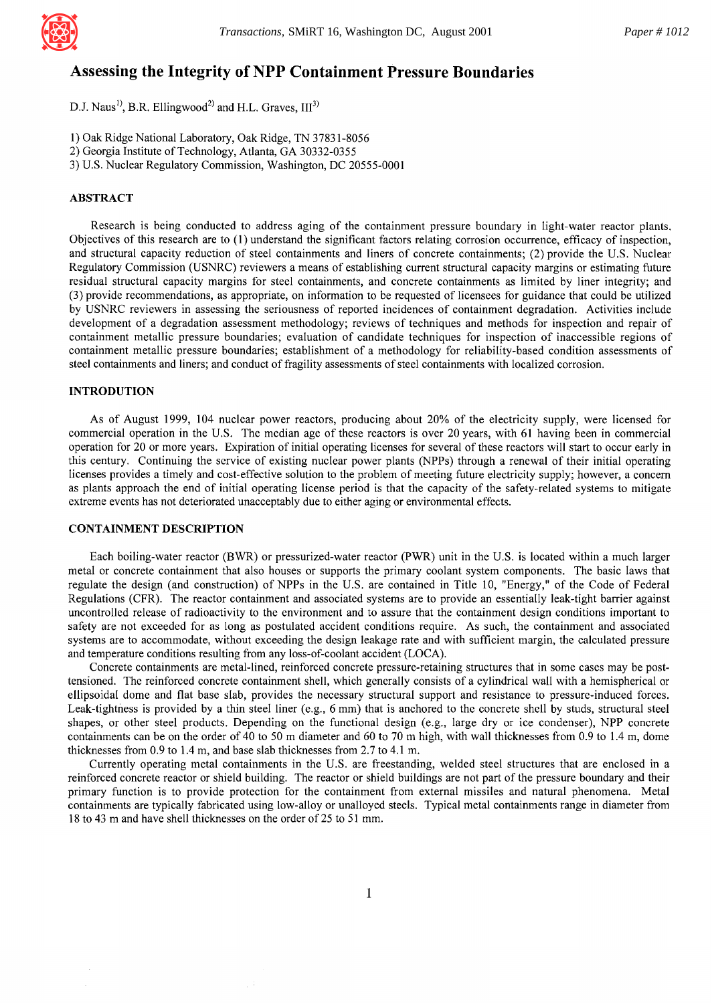

# **Assessing the Integrity of NPP Containment Pressure Boundaries**

D.J. Naus<sup>1)</sup>, B.R. Ellingwood<sup>2)</sup> and H.L. Graves,  $III^{3}$ 

1) Oak Ridge National Laboratory, Oak Ridge, TN 37831-8056

2) Georgia Institute of Technology, Atlanta, GA 30332-0355

3) U.S. Nuclear Regulatory Commission, Washington, DC 20555-0001

## ABSTRACT

Research is being conducted to address aging of the containment pressure boundary in light-water reactor plants. Objectives of this research are to (1)understand the significant factors relating corrosion occurrence, efficacy of inspection, and structural capacity reduction of steel containments and liners of concrete containments; (2) provide the U.S. Nuclear Regulatory Commission (USNRC) reviewers a means of establishing current structural capacity margins or estimating future residual structural capacity margins for steel containments, and concrete containments as limited by liner integrity; and (3) provide recommendations, as appropriate, on information to be requested of licensees for guidance that could be utilized by USNRC reviewers in assessing the seriousness of reported incidences of containment degradation. Activities include development of a degradation assessment methodology; reviews of techniques and methods for inspection and repair of containment metallic pressure boundaries; evaluation of candidate techniques for inspection of inaccessible regions of containment metallic pressure boundaries; establishment of a methodology for reliability-based condition assessments of steel containments and liners; and conduct of fragility assessments of steel containments with localized corrosion.

## INTRODUTION

As of August 1999, 104 nuclear power reactors, producing about 20% of the electricity supply, were licensed for commercial operation in the U.S. The median age of these reactors is over 20 years, with 61 having been in commercial operation for 20 or more years. Expiration of initial operating licenses for several of these reactors will start to occur early in this century. Continuing the service of existing nuclear power plants (NPPs) through a renewal of their initial operating licenses provides a timely and cost-effective solution to the problem of meeting future electricity supply; however, a concern as plants approach the end of initial operating license period is that the capacity of the safety-related systems to mitigate extreme events has not deteriorated unacceptably due to either aging or environmental effects.

### CONTAINMENT DESCRIPTION

Each boiling-water reactor (BWR) or pressurized-water reactor (PWR) unit in the U.S. is located within a much larger metal or concrete containment that also houses or supports the primary coolant system components. The basic laws that regulate the design (and construction) of NPPs in the U.S. are contained in Title 10, "Energy," of the Code of Federal Regulations (CFR). The reactor containment and associated systems are to provide an essentially leak-tight barrier against uncontrolled release of radioactivity to the environment and to assure that the containment design conditions important to safety are not exceeded for as long as postulated accident conditions require. As such, the containment and associated systems are to accommodate, without exceeding the design leakage rate and with sufficient margin, the calculated pressure and temperature conditions resulting from any loss-of-coolant accident (LOCA).

Concrete containments are metal-lined, reinforced concrete pressure-retaining structures that in some cases may be posttensioned. The reinforced concrete containment shell, which generally consists of a cylindrical wall with a hemispherical or ellipsoidal dome and flat base slab, provides the necessary structural support and resistance to pressure-induced forces. Leak-tightness is provided by a thin steel liner (e.g., 6 mm) that is anchored to the concrete shell by studs, structural steel shapes, or other steel products. Depending on the functional design (e.g., large dry or ice condenser), NPP concrete containments can be on the order of 40 to 50 m diameter and 60 to 70 m high, with wall thicknesses from 0.9 to 1.4 m, dome thicknesses from 0.9 to 1.4 m, and base slab thicknesses from 2.7 to 4.1 m.

Currently operating metal containments in the U.S. are freestanding, welded steel structures that are enclosed in a reinforced concrete reactor or shield building. The reactor or shield buildings are not part of the pressure boundary and their primary function is to provide protection for the containment from external missiles and natural phenomena. Metal containments are typically fabricated using low-alloy or unalloyed steels. Typical metal containments range in diameter from 18 to 43 m and have shell thicknesses on the order of 25 to 51 mm.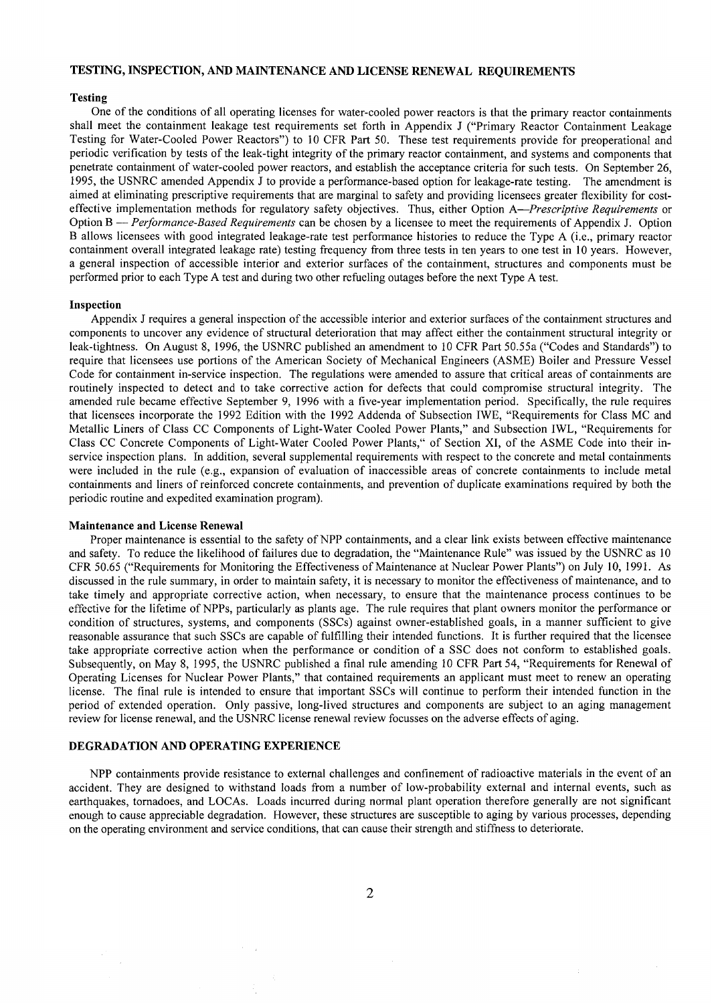#### TESTING, INSPECTION, AND MAINTENANCE AND LICENSE RENEWAL REQUIREMENTS

## **Testing**

One of the conditions of all operating licenses for water-cooled power reactors is that the primary reactor containments shall meet the containment leakage test requirements set forth in Appendix J ("Primary Reactor Containment Leakage Testing for Water-Cooled Power Reactors") to 10 CFR Part 50. These test requirements provide for preoperational and periodic verification by tests of the leak-tight integrity of the primary reactor containment, and systems and components that penetrate containment of water-cooled power reactors, and establish the acceptance criteria for such tests. On September 26, 1995, the USNRC amended Appendix J to provide a performance-based option for leakage-rate testing. The amendment is aimed at eliminating prescriptive requirements that are marginal to safety and providing licensees greater flexibility for costeffective implementation methods for regulatory safety objectives. Thus, either Option *A--Prescriptive Requirements* or Option B -- *Performance-Based Requirements* can be chosen by a licensee to meet the requirements of Appendix J. Option B allows licensees with good integrated leakage-rate test performance histories to reduce the Type A (i.e., primary reactor containment overall integrated leakage rate) testing frequency from three tests in ten years to one test in 10 years. However, a general inspection of accessible interior and exterior surfaces of the containment, structures and components must be performed prior to each Type A test and during two other refueling outages before the next Type A test.

#### **Inspection**

Appendix J requires a general inspection of the accessible interior and exterior surfaces of the containment structures and components to uncover any evidence of structural deterioration that may affect either the containment structural integrity or leak-tightness. On August 8, 1996, the USNRC published an amendment to 10 CFR Part 50.55a ("Codes and Standards") to require that licensees use portions of the American Society of Mechanical Engineers (ASME) Boiler and Pressure Vessel Code for containment in-service inspection. The regulations were amended to assure that critical areas of containments are routinely inspected to detect and to take corrective action for defects that could compromise structural integrity. The amended rule became effective September 9, 1996 with a five-year implementation period. Specifically, the rule requires that licensees incorporate the 1992 Edition with the 1992 Addenda of Subsection IWE, "Requirements for Class MC and Metallic Liners of Class CC Components of Light-Water Cooled Power Plants," and Subsection IWL, "Requirements for Class CC Concrete Components of Light-Water Cooled Power Plants," of Section XI, of the ASME Code into their inservice inspection plans. In addition, several supplemental requirements with respect to the concrete and metal containments were included in the rule (e.g., expansion of evaluation of inaccessible areas of concrete containments to include metal containments and liners of reinforced concrete containments, and prevention of duplicate examinations required by both the periodic routine and expedited examination program).

#### **Maintenance and License Renewal**

Proper maintenance is essential to the safety of NPP containments, and a clear link exists between effective maintenance and safety. To reduce the likelihood of failures due to degradation, the "Maintenance Rule" was issued by the USNRC as 10 CFR 50.65 ("Requirements for Monitoring the Effectiveness of Maintenance at Nuclear Power Plants") on July 10, 1991. As discussed in the rule summary, in order to maintain safety, it is necessary to monitor the effectiveness of maintenance, and to take timely and appropriate corrective action, when necessary, to ensure that the maintenance process continues to be effective for the lifetime of NPPs, particularly as plants age. The rule requires that plant owners monitor the performance or condition of structures, systems, and components (SSCs) against owner-established goals, in a manner sufficient to give reasonable assurance that such SSCs are capable of fulfilling their intended functions. It is further required that the licensee take appropriate corrective action when the performance or condition of a SSC does not conform to established goals. Subsequently, on May 8, 1995, the USNRC published a final rule amending 10 CFR Part 54, "Requirements for Renewal of Operating Licenses for Nuclear Power Plants," that contained requirements an applicant must meet to renew an operating license. The final rule is intended to ensure that important SSCs will continue to perform their intended function in the period of extended operation. Only passive, long-lived structures and components are subject to an aging management review for license renewal, and the USNRC license renewal review focusses on the adverse effects of aging.

#### DEGRADATION AND OPERATING EXPERIENCE

NPP containments provide resistance to external challenges and confinement of radioactive materials in the event of an accident. They are designed to withstand loads from a number of low-probability external and internal events, such as earthquakes, tornadoes, and LOCAs. Loads incurred during normal plant operation therefore generally are not significant enough to cause appreciable degradation. However, these structures are susceptible to aging by various processes, depending on the operating environment and service conditions, that can cause their strength and stiffness to deteriorate.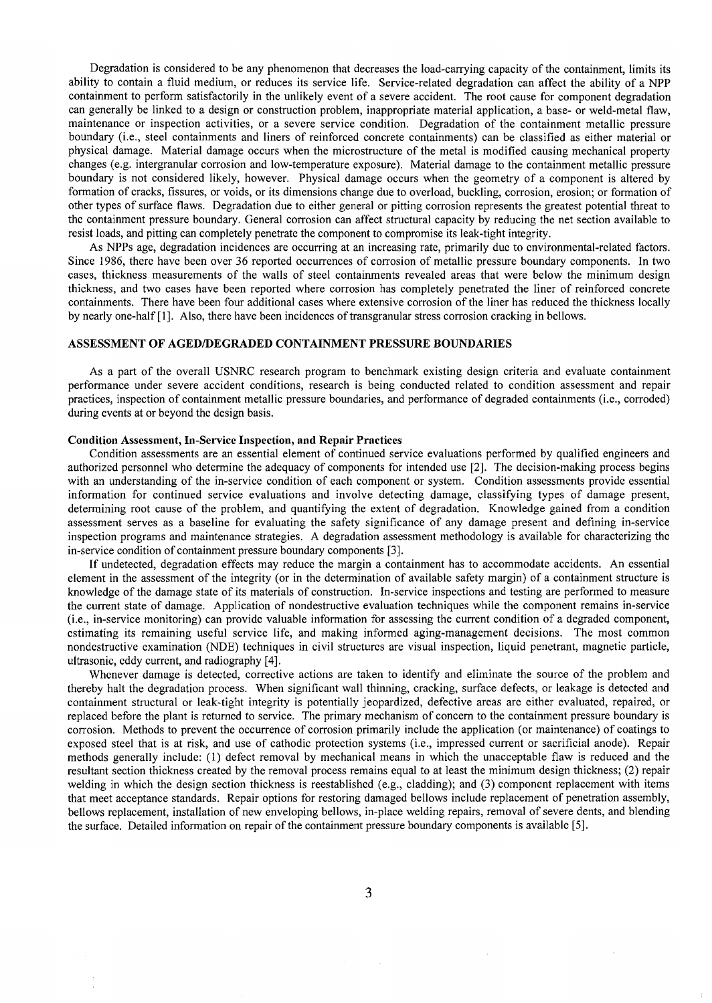Degradation is considered to be any phenomenon that decreases the load-carrying capacity of the containment, limits its ability to contain a fluid medium, or reduces its service life. Service-related degradation can affect the ability of a NPP containment to perform satisfactorily in the unlikely event of a severe accident. The root cause for component degradation can generally be linked to a design or construction problem, inappropriate material application, a base- or weld-metal flaw, maintenance or inspection activities, or a severe service condition. Degradation of the containment metallic pressure boundary (i.e., steel containments and liners of reinforced concrete containments) can be classified as either material or physical damage. Material damage occurs when the microstructure of the metal is modified causing mechanical property changes (e.g. intergranular corrosion and low-temperature exposure). Material damage to the containment metallic pressure boundary is not considered likely, however. Physical damage occurs when the geometry of a component is altered by formation of cracks, fissures, or voids, or its dimensions change due to overload, buckling, corrosion, erosion; or formation of other types of surface flaws. Degradation due to either general or pitting corrosion represents the greatest potential threat to the containment pressure boundary. General corrosion can affect structural capacity by reducing the net section available to resist loads, and pitting can completely penetrate the component to compromise its leak-tight integrity.

As NPPs age, degradation incidences are occurring at an increasing rate, primarily due to environmental-related factors. Since 1986, there have been over 36 reported occurrences of corrosion of metallic pressure boundary components. In two cases, thickness measurements of the walls of steel containments revealed areas that were below the minimum design thickness, and two cases have been reported where corrosion has completely penetrated the liner of reinforced concrete containments. There have been four additional cases where extensive corrosion of the liner has reduced the thickness locally by nearly one-half [1]. Also, there have been incidences of transgranular stress corrosion cracking in bellows.

## **ASSESSMENT OF AGED/DEGRADED CONTAINMENT PRESSURE BOUNDARIES**

As a part of the overall USNRC research program to benchmark existing design criteria and evaluate containment performance under severe accident conditions, research is being conducted related to condition assessment and repair practices, inspection of containment metallic pressure boundaries, and performance of degraded containments (i.e., corroded) during events at or beyond the design basis.

## **Condition Assessment, In-Service Inspection, and Repair Practices**

Condition assessments are an essential element of continued service evaluations performed by qualified engineers and authorized personnel who determine the adequacy of components for intended use [2]. The decision-making process begins with an understanding of the in-service condition of each component or system. Condition assessments provide essential information for continued service evaluations and involve detecting damage, classifying types of damage present, determining root cause of the problem, and quantifying the extent of degradation. Knowledge gained from a condition assessment serves as a baseline for evaluating the safety significance of any damage present and defining in-service inspection programs and maintenance strategies. A degradation assessment methodology is available for characterizing the in-service condition of containment pressure boundary components [3].

If undetected, degradation effects may reduce the margin a containment has to accommodate accidents. An essential element in the assessment of the integrity (or in the determination of available safety margin) of a containment structure is knowledge of the damage state of its materials of construction. In-service inspections and testing are performed to measure the current state of damage. Application of nondestructive evaluation techniques while the component remains in-service (i.e., in-service monitoring) can provide valuable information for assessing the current condition of a degraded component, estimating its remaining useful service life, and making informed aging-management decisions. The most common nondestructive examination (NDE) techniques in civil structures are visual inspection, liquid penetrant, magnetic particle, ultrasonic, eddy current, and radiography [4].

Whenever damage is detected, corrective actions are taken to identify and eliminate the source of the problem and thereby halt the degradation process. When significant wall thinning, cracking, surface defects, or leakage is detected and containment structural or leak-tight integrity is potentially jeopardized, defective areas are either evaluated, repaired, or replaced before the plant is returned to service. The primary mechanism of concern to the containment pressure boundary is corrosion. Methods to prevent the occurrence of corrosion primarily include the application (or maintenance) of coatings to exposed steel that is at risk, and use of cathodic protection systems (i.e., impressed current or sacrificial anode). Repair methods generally include: (1) defect removal by mechanical means in which the unacceptable flaw is reduced and the resultant section thickness created by the removal process remains equal to at least the minimum design thickness; (2) repair welding in which the design section thickness is reestablished (e.g., cladding); and  $(3)$  component replacement with items that meet acceptance standards. Repair options for restoring damaged bellows include replacement of penetration assembly, bellows replacement, installation of new enveloping bellows, in-place welding repairs, removal of severe dents, and blending the surface. Detailed information on repair of the containment pressure boundary components is available [5].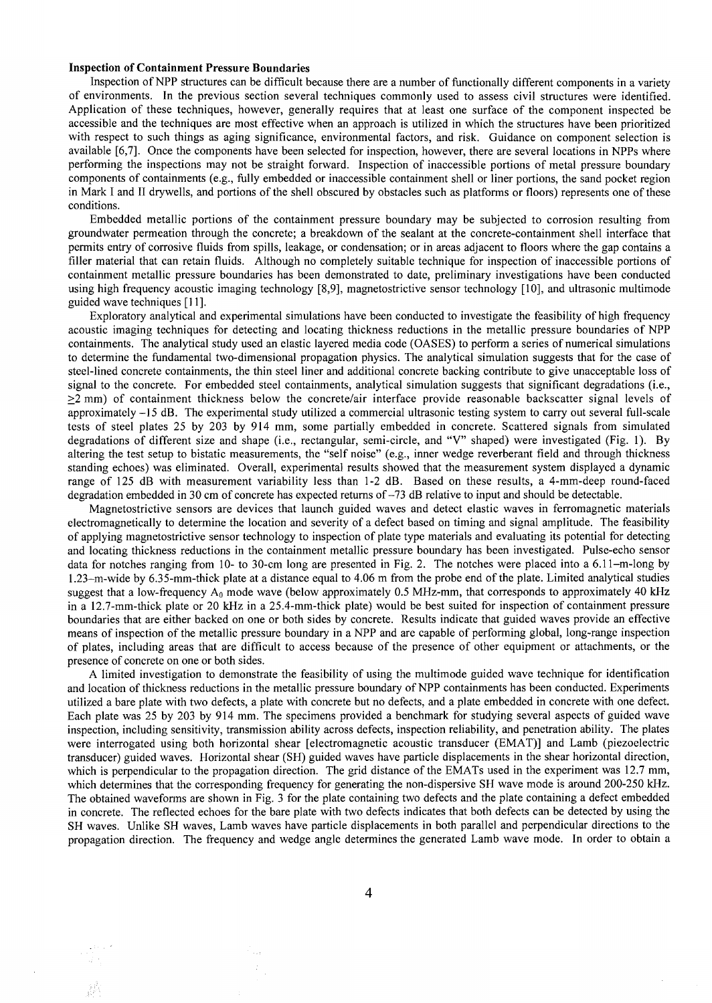## **Inspection of Containment Pressure Boundaries**

Inspection of NPP structures can be difficult because there are a number of functionally different components in a variety of environments. In the previous section several techniques commonly used to assess civil structures were identified. Application of these techniques, however, generally requires that at least one surface of the component inspected be accessible and the techniques are most effective when an approach is utilized in which the structures have been prioritized with respect to such things as aging significance, environmental factors, and risk. Guidance on component selection is available [6,7]. Once the components have been selected for inspection, however, there are several locations in NPPs where performing the inspections may not be straight forward. Inspection of inaccessible portions of metal pressure boundary components of containments (e.g., fully embedded or inaccessible containment shell or liner portions, the sand pocket region in Mark I and II drywells, and portions of the shell obscured by obstacles such as platforms or floors) represents one of these conditions.

Embedded metallic portions of the containment pressure boundary may be subjected to corrosion resulting from groundwater permeation through the concrete; a breakdown of the sealant at the concrete-containment shell interface that permits entry of corrosive fluids from spills, leakage, or condensation; or in areas adjacent to floors where the gap contains a filler material that can retain fluids. Although no completely suitable technique for inspection of inaccessible portions of containment metallic pressure boundaries has been demonstrated to date, preliminary investigations have been conducted using high frequency acoustic imaging technology [8,9], magnetostrictive sensor technology [10], and ultrasonic multimode guided wave techniques [ 11 ].

Exploratory analytical and experimental simulations have been conducted to investigate the feasibility of high frequency acoustic imaging techniques for detecting and locating thickness reductions in the metallic pressure boundaries of NPP containments. The analytical study used an elastic layered media code (OASES) to perform a series of numerical simulations to determine the fundamental two-dimensional propagation physics. The analytical simulation suggests that for the case of steel-lined concrete containments, the thin steel liner and additional concrete backing contribute to give unacceptable loss of signal to the concrete. For embedded steel containments, analytical simulation suggests that significant degradations (i.e., >2 mm) of containment thickness below the concrete/air interface provide reasonable backscatter signal levels of approximately-15 dB. The experimental study utilized a commercial ultrasonic testing system to carry out several full-scale tests of steel plates 25 by 203 by 914 mm, some partially embedded in concrete. Scattered signals from simulated degradations of different size and shape (i.e., rectangular, semi-circle, and "V" shaped) were investigated (Fig. 1). By altering the test setup to bistatic measurements, the "self noise" (e.g., inner wedge reverberant field and through thickness standing echoes) was eliminated. Overall, experimental results showed that the measurement system displayed a dynamic range of 125 dB with measurement variability less than 1-2 dB. Based on these results, a 4-mm-deep round-faced degradation embedded in 30 cm of concrete has expected returns of -73 dB relative to input and should be detectable.

Magnetostrictive sensors are devices that launch guided waves and detect elastic waves in ferromagnetic materials electromagnetically to determine the location and severity of a defect based on timing and signal amplitude. The feasibility of applying magnetostrictive sensor technology to inspection of plate type materials and evaluating its potential for detecting and locating thickness reductions in the containment metallic pressure boundary has been investigated. Pulse-echo sensor data for notches ranging from 10- to 30-cm long are presented in Fig. 2. The notches were placed into a 6.11-m-long by 1.23-m-wide by 6.35-mm-thick plate at a distance equal to 4.06 m from the probe end of the plate. Limited analytical studies suggest that a low-frequency  $A_0$  mode wave (below approximately 0.5 MHz-mm, that corresponds to approximately 40 kHz in a 12.7-mm-thick plate or 20 kHz in a 25.4-mm-thick plate) would be best suited for inspection of containment pressure boundaries that are either backed on one or both sides by concrete. Results indicate that guided waves provide an effective means of inspection of the metallic pressure boundary in a NPP and are capable of performing global, long-range inspection of plates, including areas that are difficult to access because of the presence of other equipment or attachments, or the presence of concrete on one or both sides.

A limited investigation to demonstrate the feasibility of using the multimode guided wave technique for identification and location of thickness reductions in the metallic pressure boundary of NPP containments has been conducted. Experiments utilized a bare plate with two defects, a plate with concrete but no defects, and a plate embedded in concrete with one defect. Each plate was 25 by 203 by 914 mm. The specimens provided a benchmark for studying several aspects of guided wave inspection, including sensitivity, transmission ability across defects, inspection reliability, and penetration ability. The plates were interrogated using both horizontal shear [electromagnetic acoustic transducer (EMAT)] and Lamb (piezoelectric transducer) guided waves. Horizontal shear (SH) guided waves have particle displacements in the shear horizontal direction, which is perpendicular to the propagation direction. The grid distance of the EMATs used in the experiment was 12.7 mm, which determines that the corresponding frequency for generating the non-dispersive SH wave mode is around 200-250 kHz. The obtained waveforms are shown in Fig. 3 for the plate containing two defects and the plate containing a defect embedded in concrete. The reflected echoes for the bare plate with two defects indicates that both defects can be detected by using the SH waves. Unlike SH waves, Lamb waves have particle displacements in both parallel and perpendicular directions to the propagation direction. The frequency and wedge angle determines the generated Lamb wave mode. In order to obtain a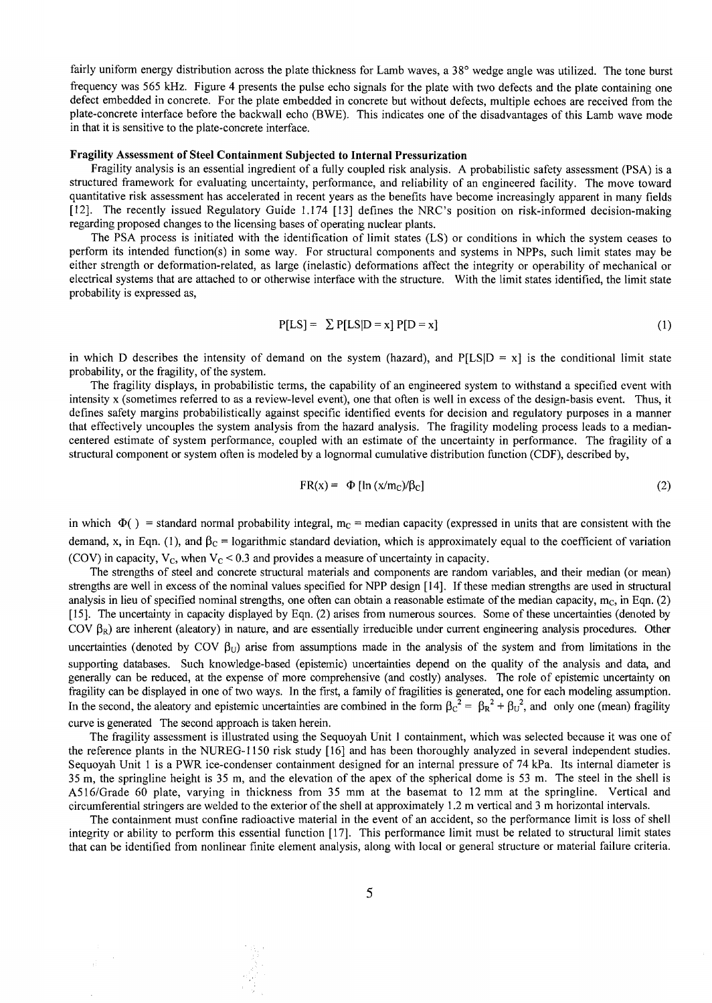fairly uniform energy distribution across the plate thickness for Lamb waves, a 38° wedge angle was utilized. The tone burst frequency was 565 kHz. Figure 4 presents the pulse echo signals for the plate with two defects and the plate containing one defect embedded in concrete. For the plate embedded in concrete but without defects, multiple echoes are received from the plate-concrete interface before the backwall echo (BWE). This indicates one of the disadvantages of this Lamb wave mode in that it is sensitive to the plate-concrete interface.

#### **Fragility Assessment of Steel Containment Subjected to Internal Pressurization**

Fragility analysis is an essential ingredient of a fully coupled risk analysis. A probabilistic safety assessment (PSA) is a structured framework for evaluating uncertainty, performance, and reliability of an engineered facility. The move toward quantitative risk assessment has accelerated in recent years as the benefits have become increasingly apparent in many fields [12]. The recently issued Regulatory Guide 1.174 [13] defines the NRC's position on risk-informed decision-making regarding proposed changes to the licensing bases of operating nuclear plants.

The PSA process is initiated with the identification of limit states (LS) or conditions in which the system ceases to perform its intended function(s) in some way. For structural components and systems in NPPs, such limit states may be either strength or deformation-related, as large (inelastic) deformations affect the integrity or operability of mechanical or electrical systems that are attached to or otherwise interface with the structure. With the limit states identified, the limit state probability is expressed as,

$$
P[LS] = \sum P[LS|D = x] P[D = x]
$$
\n(1)

in which D describes the intensity of demand on the system (hazard), and  $P[LS|D = x]$  is the conditional limit state probability, or the fragility, of the system.

The fragility displays, in probabilistic terms, the capability of an engineered system to withstand a specified event with intensity x (sometimes referred to as a review-level event), one that often is well in excess of the design-basis event. Thus, it defines safety margins probabilistically against specific identified events for decision and regulatory purposes in a manner that effectively uncouples the system analysis from the hazard analysis. The fragility modeling process leads to a mediancentered estimate of system performance, coupled with an estimate of the uncertainty in performance. The fragility of a structural component or system often is modeled by a lognormal cumulative distribution function (CDF), described by,

$$
FR(x) = \Phi [\ln (x/m_c)/\beta_c]
$$
 (2)

in which  $\Phi$ () = standard normal probability integral, m<sub>c</sub> = median capacity (expressed in units that are consistent with the demand, x, in Eqn. (1), and  $\beta_c$  = logarithmic standard deviation, which is approximately equal to the coefficient of variation (COV) in capacity,  $V_c$ , when  $V_c < 0.3$  and provides a measure of uncertainty in capacity.

The strengths of steel and concrete structural materials and components are random variables, and their median (or mean) strengths are well in excess of the nominal values specified for NPP design [14]. If these median strengths are used in structural analysis in lieu of specified nominal strengths, one often can obtain a reasonable estimate of the median capacity,  $m<sub>C</sub>$ , in Eqn. (2) [15]. The uncertainty in capacity displayed by Eqn. (2) arises from numerous sources. Some of these uncertainties (denoted by COV  $\beta_R$ ) are inherent (aleatory) in nature, and are essentially irreducible under current engineering analysis procedures. Other uncertainties (denoted by COV  $\beta_{IJ}$ ) arise from assumptions made in the analysis of the system and from limitations in the supporting databases. Such knowledge-based (epistemic) uncertainties depend on the quality of the analysis and data, and generally can be reduced, at the expense of more comprehensive (and costly) analyses. The role of epistemic uncertainty on fragility can be displayed in one of two ways. In the first, a family of fragilities is generated, one for each modeling assumption. In the second, the aleatory and epistemic uncertainties are combined in the form  $\beta_c^2 = \beta_R^2 + \beta_U^2$ , and only one (mean) fragility curve is generated The second approach is taken herein.

The fragility assessment is illustrated using the Sequoyah Unit 1 containment, which was selected because it was one of the reference plants in the NUREG-1150 risk study [ 16] and has been thoroughly analyzed in several independent studies. Sequoyah Unit 1 is a PWR ice-condenser containment designed for an internal pressure of 74 kPa. Its internal diameter is 35 m, the springline height is 35 m, and the elevation of the apex of the spherical dome is 53 m. The steel in the shell is A516/Grade 60 plate, varying in thickness from 35 mm at the basemat to 12 mm at the springline. Vertical and circumferential stringers are welded to the exterior of the shell at approximately 1.2 m vertical and 3 m horizontal intervals.

The containment must confine radioactive material in the event of an accident, so the performance limit is loss of shell integrity or ability to perform this essential function [17]. This performance limit must be related to structural limit states that can be identified from nonlinear finite element analysis, along with local or general structure or material failure criteria.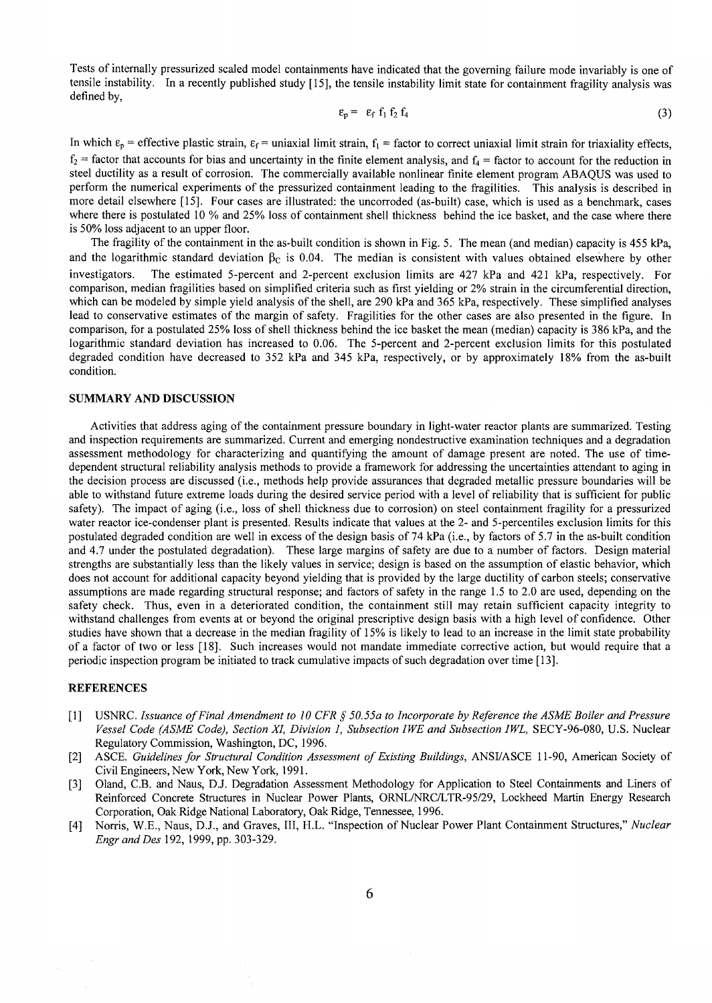Tests of internally pressurized scaled model containments have indicated that the governing failure mode invariably is one of tensile instability. In a recently published study [ 15], the tensile instability limit state for containment fragility analysis was defined by,

$$
\varepsilon_p = \varepsilon_f f_1 f_2 f_4 \tag{3}
$$

In which  $\varepsilon_p$  = effective plastic strain,  $\varepsilon_f$  = uniaxial limit strain,  $f_1$  = factor to correct uniaxial limit strain for triaxiality effects,  $f_2$  = factor that accounts for bias and uncertainty in the finite element analysis, and  $f_4$  = factor to account for the reduction in steel ductility as a result of corrosion. The commercially available nonlinear finite element program ABAQUS was used to perform the numerical experiments of the pressurized containment leading to the fragilities. This analysis is described in more detail elsewhere [15]. Four cases are illustrated: the uncorroded (as-built) case, which is used as a benchmark, cases where there is postulated 10 % and 25% loss of containment shell thickness behind the ice basket, and the case where there is 50% loss adjacent to an upper floor.

The fragility of the containment in the as-built condition is shown in Fig. 5. The mean (and median) capacity is 455 kPa, and the logarithmic standard deviation  $\beta_c$  is 0.04. The median is consistent with values obtained elsewhere by other investigators. The estimated 5-percent and 2-percent exclusion limits are 427 kPa and 421 kPa, respectively. For comparison, median fragilities based on simplified criteria such as first yielding or 2% strain in the circumferential direction, which can be modeled by simple yield analysis of the shell, are 290 kPa and 365 kPa, respectively. These simplified analyses lead to conservative estimates of the margin of safety. Fragilities for the other cases are also presented in the figure. In comparison, for a postulated 25% loss of shell thickness behind the ice basket the mean (median) capacity is 386 kPa, and the logarithmic standard deviation has increased to 0.06. The 5-percent and 2-percent exclusion limits for this postulated degraded condition have decreased to 352 kPa and 345 kPa, respectively, or by approximately 18% from the as-built condition.

## **SUMMARY AND DISCUSSION**

Activities that address aging of the containment pressure boundary in light-water reactor plants are summarized. Testing and inspection requirements are summarized. Current and emerging nondestructive examination techniques and a degradation assessment methodology for characterizing and quantifying the amount of damage present are noted. The use of timedependent structural reliability analysis methods to provide a framework for addressing the uncertainties attendant to aging in the decision process are discussed (i.e., methods help provide assurances that degraded metallic pressure boundaries will be able to withstand future extreme loads during the desired service period with a level of reliability that is sufficient for public safety). The impact of aging (i.e., loss of shell thickness due to corrosion) on steel containment fragility for a pressurized water reactor ice-condenser plant is presented. Results indicate that values at the 2- and 5-percentiles exclusion limits for this postulated degraded condition are well in excess of the design basis of 74 kPa (i.e., by factors of 5.7 in the as-built condition and 4.7 under the postulated degradation). These large margins of safety are due to a number of factors. Design material strengths are substantially less than the likely values in service; design is based on the assumption of elastic behavior, which does not account for additional capacity beyond yielding that is provided by the large ductility of carbon steels; conservative assumptions are made regarding structural response; and factors of safety in the range 1.5 to 2.0 are used, depending on the safety check. Thus, even in a deteriorated condition, the containment still may retain sufficient capacity integrity to withstand challenges from events at or beyond the original prescriptive design basis with a high level of confidence. Other studies have shown that a decrease in the median fragility of 15% is likely to lead to an increase in the limit state probability of a factor of two or less [18]. Such increases would not mandate immediate corrective action, but would require that a periodic inspection program be initiated to track cumulative impacts of such degradation over time [ 13].

#### **REFERENCES**

- $[1]$ USNRC. *Issuance of Final Amendment to 10 CFR § 50.55a to Incorporate by Reference the ASME Boiler and Pressure Vessel Code (ASME Code), Section XI, Division 1, Subsection IWE and Subsection IWL,* SECY-96-080, U.S. Nuclear Regulatory Commission, Washington, DC, 1996.
- [2] ASCE. *Guidelines for Structural Condition Assessment of Existing Buildings,* ANSI/ASCE 11-90, American Society of Civil Engineers, New York, New York, 1991.
- [3] Oland, C.B. and Naus, D.J. Degradation Assessment Methodology for Application to Steel Containments and Liners of Reinforced Concrete Structures in Nuclear Power Plants, ORNL/NRC/LTR-95/29, Lockheed Martin Energy Research Corporation, Oak Ridge National Laboratory, Oak Ridge, Tennessee, 1996.
- [4] Norris, W.E., Naus, D.J., and Graves, III, H.L. "Inspection of Nuclear Power Plant Containment Structures," *Nuclear Engr and Des* 192, 1999, pp. 303-329.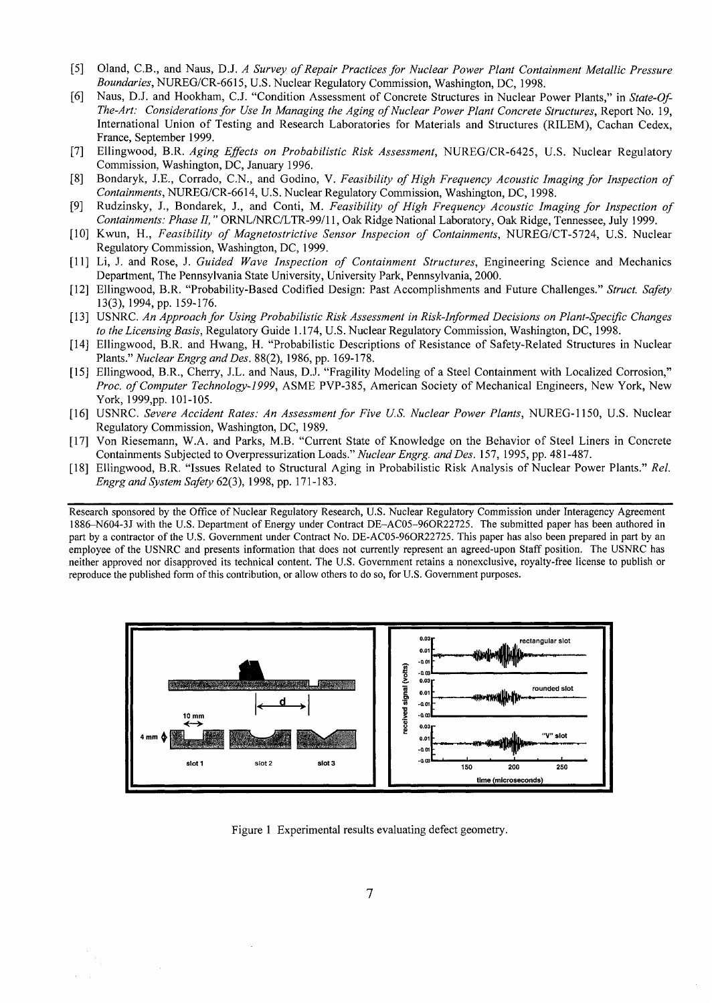- [5] Oland, C.B., and Naus, D.J. *A Survey of Repair Practices for Nuclear Power Plant Containment Metallic Pressure Boundaries,* NUREG/CR-6615, U.S. Nuclear Regulatory Commission, Washington, DC, 1998.
- [6] Naus, D.J. and Hookham, C.J. "Condition Assessment of Concrete Structures in Nuclear Power Plants," in *State-Of-The-Art: Considerations for Use In Managing the Aging of Nuclear Power Plant Concrete Structures,* Report No. 19, International Union of Testing and Research Laboratories for Materials and Structures (RILEM), Cachan Cedex, France, September 1999.
- [7] Ellingwood, B.R. *Aging Effects on Probabilistic Risk Assessment,* NUREG/CR-6425, U.S. Nuclear Regulatory Commission, Washington, DC, January 1996.
- [8] Bondaryk, J.E., Corrado, C.N., and Godino, V. *Feasibility of High Frequency Acoustic Imaging for Inspection of Containments,* NUREG/CR-6614, U.S. Nuclear Regulatory Commission, Washington, DC, 1998.
- [9] Rudzinsky, J., Bondarek, J., and Conti, M. *Feasibility of High Frequency Acoustic Imaging for Inspection of Containments: Phase II,"* ORNL/NRC/LTR-99/11, Oak Ridge National Laboratory, Oak Ridge, Tennessee, July 1999.
- [10] Kwun, H., *Feasibility of Magnetostrictive Sensor Inspecion of Containments,* NUREG/CT-5724, U.S. Nuclear Regulatory Commission, Washington, DC, 1999.
- [11] Li, J. and Rose, J. *Guided Wave Inspection of Containment Structures,* Engineering Science and Mechanics Department, The Pennsylvania State University, University Park, Pennsylvania, 2000.
- [12] Ellingwood, B.R. "Probability-Based Codified Design: Past Accomplishments and Future Challenges." *Struct. Safety*  13(3), 1994, pp. 159-176.
- [ 13] USNRC. *An Approach for Using Probabilistic Risk Assessment in Risk-Informed Decisions on Plant-Specific Changes to the Licensing Basis,* Regulatory Guide 1.174, U.S. Nuclear Regulatory Commission, Washington, DC, 1998.
- [14] Ellingwood, B.R. and Hwang, H. "Probabilistic Descriptions of Resistance of Safety-Related Structures in Nuclear Plants." *Nuclear Engrg and Des.* 88(2), 1986, pp. 169-178.
- [15] Ellingwood, B.R., Cherry, J.L. and Naus, D.J. "Fragility Modeling of a Steel Containment with Localized Corrosion," *Proc. of Computer Technology-1999,* ASME PVP-385, American Society of Mechanical Engineers, New York, New York, 1999,pp. 101-105.
- [16] USNRC. *Severe Accident Rates: An Assessment for Five U.S. Nuclear Power Plants,* NUREG-1150, U.S. Nuclear Regulatory Commission, Washington, DC, 1989.
- [17] Von Riesemann, W.A. and Parks, M.B. "Current State of Knowledge on the Behavior of Steel Liners in Concrete Containments Subjected to Overpressurization Loads." *Nuclear Engrg. and Des.* 157, 1995, pp. 481-487.
- [18] Ellingwood, B.R. "Issues Related to Structural Aging in Probabilistic Risk Analysis of Nuclear Power Plants." *Rel. Engrg and System Safety* 62(3), 1998, pp. 171-183.

Research sponsored by the Office of Nuclear Regulatory Research, U.S. Nuclear Regulatory Commission under Interagency Agreement **1886-N604-3J** with the U.S. Department of Energy under Contract DE-AC05-96OR22725. The submitted paper has been authored in part by a contractor of the U.S. Government under Contract No. DE-AC05-96OR22725. This paper has also been prepared in part by an employee of the USNRC and presents information that does not currently represent an agreed-upon Staff position. The USNRC has neither approved nor disapproved its technical content. The U.S. Government retains a nonexclusive, royalty-free license to publish or reproduce the published form of this contribution, or allow others to do so, for U.S. Government purposes.



Figure 1 Experimental results evaluating defect geometry.